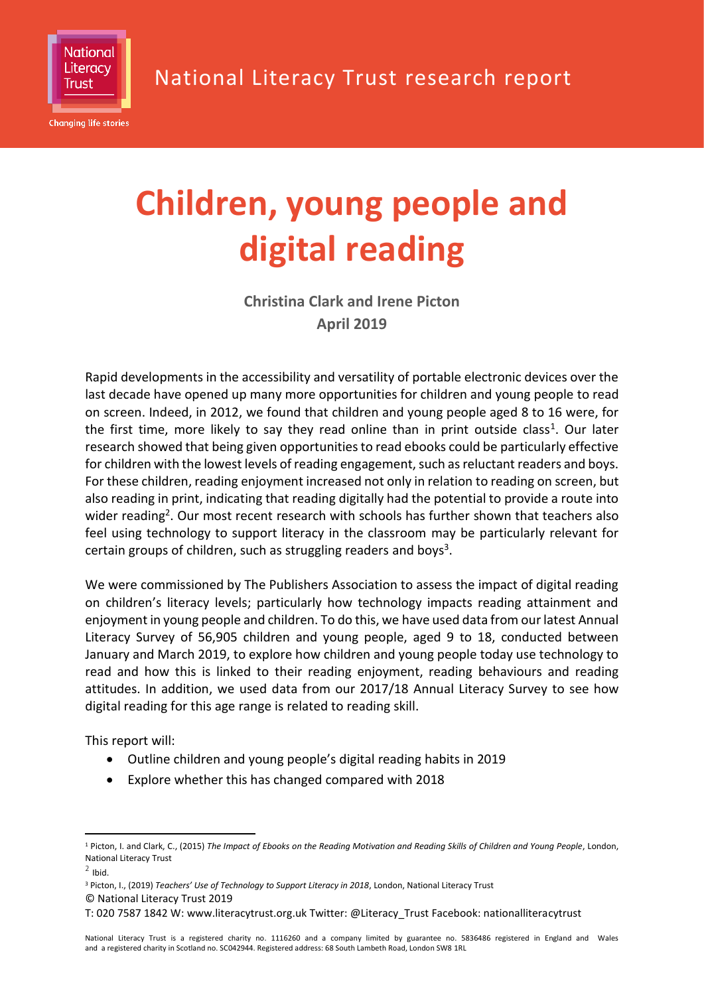

# **Children, young people and digital reading**

**Christina Clark and Irene Picton April 2019**

Rapid developments in the accessibility and versatility of portable electronic devices over the last decade have opened up many more opportunities for children and young people to read on screen. Indeed, in 2012, we found that children and young people aged 8 to 16 were, for the first time, more likely to say they read online than in print outside class<sup>1</sup>. Our later research showed that being given opportunities to read ebooks could be particularly effective for children with the lowest levels of reading engagement, such as reluctant readers and boys. For these children, reading enjoyment increased not only in relation to reading on screen, but also reading in print, indicating that reading digitally had the potential to provide a route into wider reading<sup>2</sup>. Our most recent research with schools has further shown that teachers also feel using technology to support literacy in the classroom may be particularly relevant for certain groups of children, such as struggling readers and boys<sup>3</sup>.

We were commissioned by The Publishers Association to assess the impact of digital reading on children's literacy levels; particularly how technology impacts reading attainment and enjoyment in young people and children. To do this, we have used data from our latest Annual Literacy Survey of 56,905 children and young people, aged 9 to 18, conducted between January and March 2019, to explore how children and young people today use technology to read and how this is linked to their reading enjoyment, reading behaviours and reading attitudes. In addition, we used data from our 2017/18 Annual Literacy Survey to see how digital reading for this age range is related to reading skill.

This report will:

- Outline children and young people's digital reading habits in 2019
- Explore whether this has changed compared with 2018

<sup>&</sup>lt;u>.</u> <sup>1</sup> Picton, I. and Clark, C., (2015) *[The Impact of Ebooks on the Reading Motivation and Reading Skills of Children and Young People](https://literacytrust.org.uk/research-services/research-reports/impact-ebooks-reading-motivation-and-reading-skills-children-and-young-people/)*, London, National Literacy Trust

 $<sup>2</sup>$  Ibid.</sup>

<sup>©</sup> National Literacy Trust 2019 <sup>3</sup> Picton, I., (2019) *Teachers' Use of Technology to Support Literacy in 2018*, London, National Literacy Trust

T: 020 7587 1842 W: www.literacytrust.org.uk Twitter: @Literacy\_Trust Facebook: nationalliteracytrust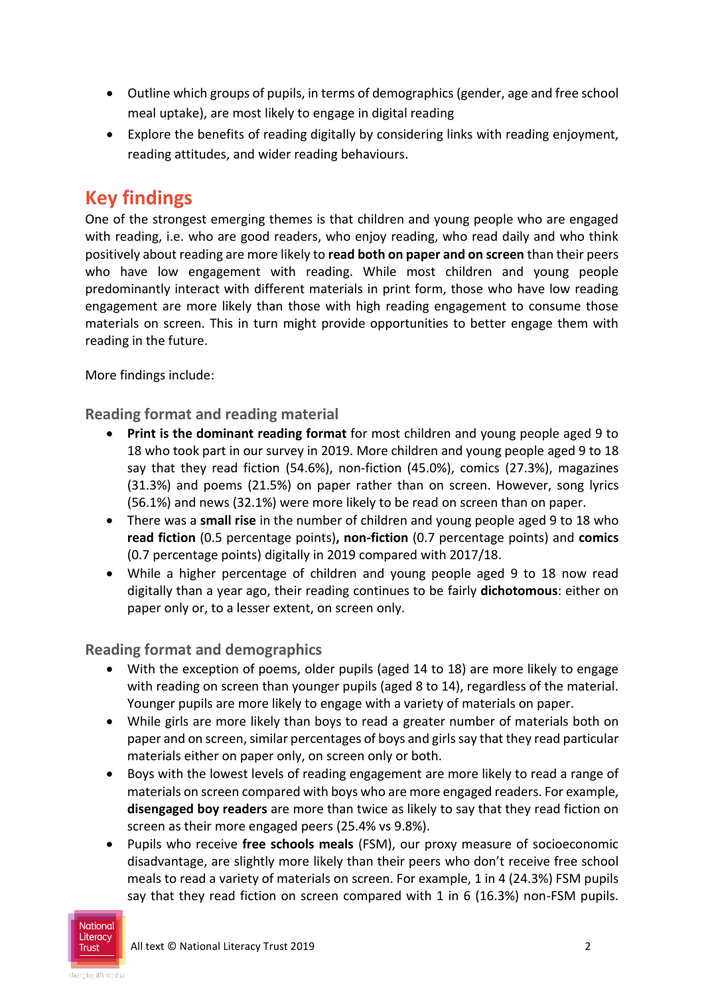- Outline which groups of pupils, in terms of demographics (gender, age and free school meal uptake), are most likely to engage in digital reading
- Explore the benefits of reading digitally by considering links with reading enjoyment, reading attitudes, and wider reading behaviours.

# **Key findings**

One of the strongest emerging themes is that children and young people who are engaged with reading, i.e. who are good readers, who enjoy reading, who read daily and who think positively about reading are more likely to **read both on paper and on screen** than their peers who have low engagement with reading. While most children and young people predominantly interact with different materials in print form, those who have low reading engagement are more likely than those with high reading engagement to consume those materials on screen. This in turn might provide opportunities to better engage them with reading in the future.

More findings include:

**Reading format and reading material**

- **Print is the dominant reading format** for most children and young people aged 9 to 18 who took part in our survey in 2019. More children and young people aged 9 to 18 say that they read fiction (54.6%), non-fiction (45.0%), comics (27.3%), magazines (31.3%) and poems (21.5%) on paper rather than on screen. However, song lyrics (56.1%) and news (32.1%) were more likely to be read on screen than on paper.
- There was a **small rise** in the number of children and young people aged 9 to 18 who **read fiction** (0.5 percentage points)**, non-fiction** (0.7 percentage points) and **comics**  (0.7 percentage points) digitally in 2019 compared with 2017/18.
- While a higher percentage of children and young people aged 9 to 18 now read digitally than a year ago, their reading continues to be fairly **dichotomous**: either on paper only or, to a lesser extent, on screen only.

#### **Reading format and demographics**

- With the exception of poems, older pupils (aged 14 to 18) are more likely to engage with reading on screen than younger pupils (aged 8 to 14), regardless of the material. Younger pupils are more likely to engage with a variety of materials on paper.
- While girls are more likely than boys to read a greater number of materials both on paper and on screen, similar percentages of boys and girls say that they read particular materials either on paper only, on screen only or both.
- Boys with the lowest levels of reading engagement are more likely to read a range of materials on screen compared with boys who are more engaged readers. For example, **disengaged boy readers** are more than twice as likely to say that they read fiction on screen as their more engaged peers (25.4% vs 9.8%).
- Pupils who receive **free schools meals** (FSM), our proxy measure of socioeconomic disadvantage, are slightly more likely than their peers who don't receive free school meals to read a variety of materials on screen. For example, 1 in 4 (24.3%) FSM pupils say that they read fiction on screen compared with 1 in 6 (16.3%) non-FSM pupils.

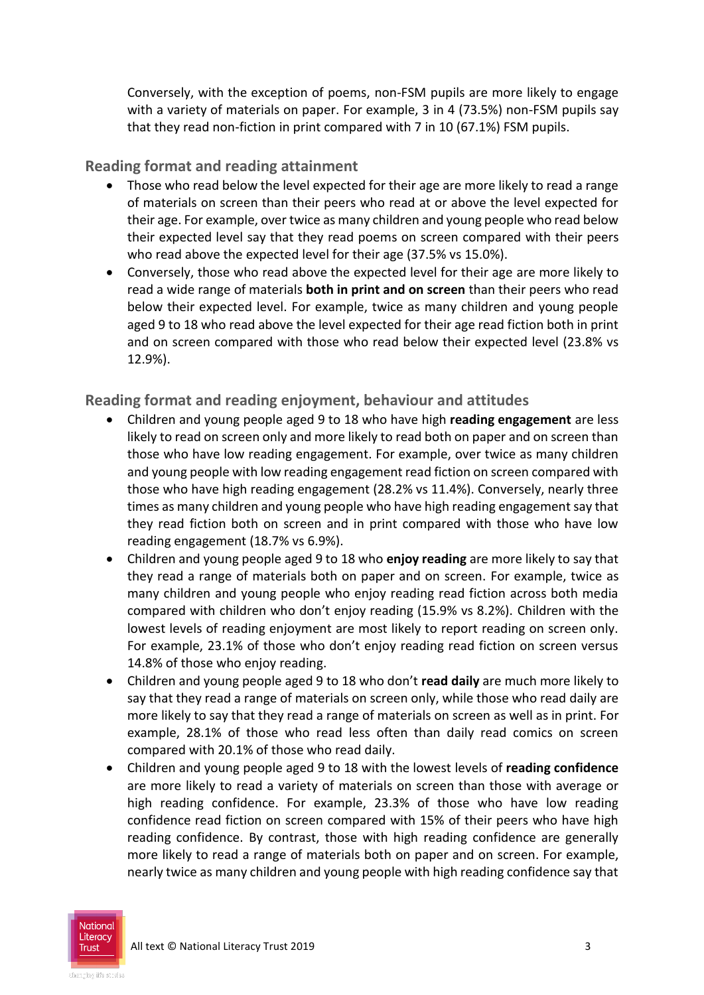Conversely, with the exception of poems, non-FSM pupils are more likely to engage with a variety of materials on paper. For example, 3 in 4 (73.5%) non-FSM pupils say that they read non-fiction in print compared with 7 in 10 (67.1%) FSM pupils.

#### **Reading format and reading attainment**

- Those who read below the level expected for their age are more likely to read a range of materials on screen than their peers who read at or above the level expected for their age. For example, over twice as many children and young people who read below their expected level say that they read poems on screen compared with their peers who read above the expected level for their age (37.5% vs 15.0%).
- Conversely, those who read above the expected level for their age are more likely to read a wide range of materials **both in print and on screen** than their peers who read below their expected level. For example, twice as many children and young people aged 9 to 18 who read above the level expected for their age read fiction both in print and on screen compared with those who read below their expected level (23.8% vs 12.9%).

**Reading format and reading enjoyment, behaviour and attitudes**

- Children and young people aged 9 to 18 who have high **reading engagement** are less likely to read on screen only and more likely to read both on paper and on screen than those who have low reading engagement. For example, over twice as many children and young people with low reading engagement read fiction on screen compared with those who have high reading engagement (28.2% vs 11.4%). Conversely, nearly three times as many children and young people who have high reading engagement say that they read fiction both on screen and in print compared with those who have low reading engagement (18.7% vs 6.9%).
- Children and young people aged 9 to 18 who **enjoy reading** are more likely to say that they read a range of materials both on paper and on screen. For example, twice as many children and young people who enjoy reading read fiction across both media compared with children who don't enjoy reading (15.9% vs 8.2%). Children with the lowest levels of reading enjoyment are most likely to report reading on screen only. For example, 23.1% of those who don't enjoy reading read fiction on screen versus 14.8% of those who enjoy reading.
- Children and young people aged 9 to 18 who don't **read daily** are much more likely to say that they read a range of materials on screen only, while those who read daily are more likely to say that they read a range of materials on screen as well as in print. For example, 28.1% of those who read less often than daily read comics on screen compared with 20.1% of those who read daily.
- Children and young people aged 9 to 18 with the lowest levels of **reading confidence** are more likely to read a variety of materials on screen than those with average or high reading confidence. For example, 23.3% of those who have low reading confidence read fiction on screen compared with 15% of their peers who have high reading confidence. By contrast, those with high reading confidence are generally more likely to read a range of materials both on paper and on screen. For example, nearly twice as many children and young people with high reading confidence say that

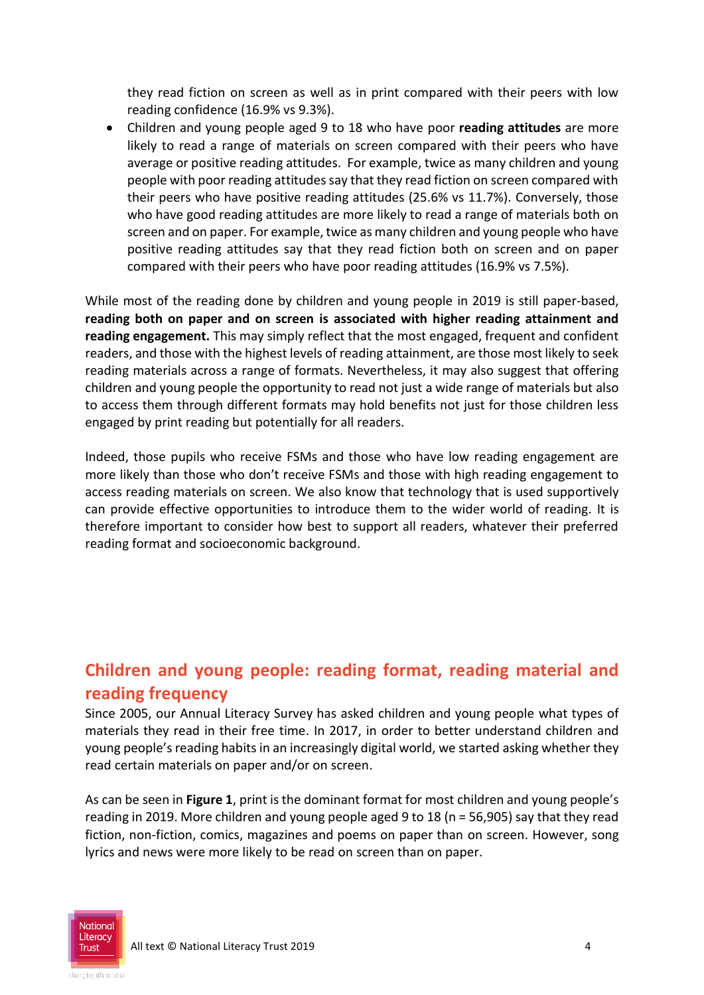they read fiction on screen as well as in print compared with their peers with low reading confidence (16.9% vs 9.3%).

 Children and young people aged 9 to 18 who have poor **reading attitudes** are more likely to read a range of materials on screen compared with their peers who have average or positive reading attitudes. For example, twice as many children and young people with poor reading attitudes say that they read fiction on screen compared with their peers who have positive reading attitudes (25.6% vs 11.7%). Conversely, those who have good reading attitudes are more likely to read a range of materials both on screen and on paper. For example, twice as many children and young people who have positive reading attitudes say that they read fiction both on screen and on paper compared with their peers who have poor reading attitudes (16.9% vs 7.5%).

While most of the reading done by children and young people in 2019 is still paper-based, **reading both on paper and on screen is associated with higher reading attainment and reading engagement.** This may simply reflect that the most engaged, frequent and confident readers, and those with the highest levels of reading attainment, are those most likely to seek reading materials across a range of formats. Nevertheless, it may also suggest that offering children and young people the opportunity to read not just a wide range of materials but also to access them through different formats may hold benefits not just for those children less engaged by print reading but potentially for all readers.

Indeed, those pupils who receive FSMs and those who have low reading engagement are more likely than those who don't receive FSMs and those with high reading engagement to access reading materials on screen. We also know that technology that is used supportively can provide effective opportunities to introduce them to the wider world of reading. It is therefore important to consider how best to support all readers, whatever their preferred reading format and socioeconomic background.

## **Children and young people: reading format, reading material and reading frequency**

Since 2005, our Annual Literacy Survey has asked children and young people what types of materials they read in their free time. In 2017, in order to better understand children and young people's reading habits in an increasingly digital world, we started asking whether they read certain materials on paper and/or on screen.

As can be seen in **Figure 1**, print is the dominant format for most children and young people's reading in 2019. More children and young people aged 9 to 18 (n = 56,905) say that they read fiction, non-fiction, comics, magazines and poems on paper than on screen. However, song lyrics and news were more likely to be read on screen than on paper.

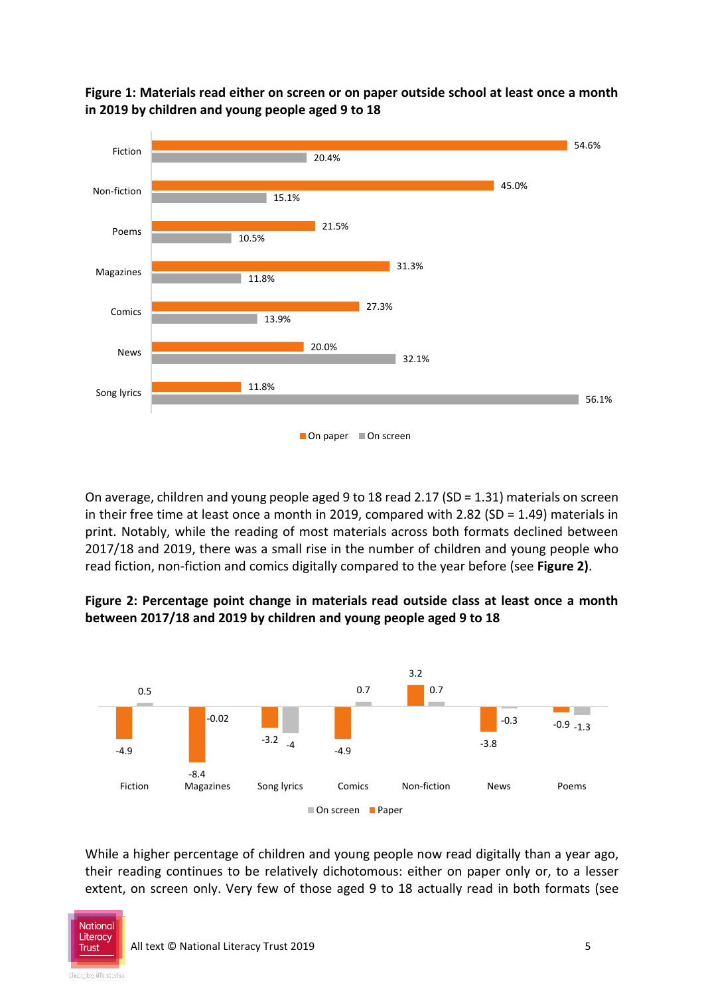

**Figure 1: Materials read either on screen or on paper outside school at least once a month in 2019 by children and young people aged 9 to 18**

On average, children and young people aged 9 to 18 read 2.17 (SD = 1.31) materials on screen in their free time at least once a month in 2019, compared with 2.82 (SD = 1.49) materials in print. Notably, while the reading of most materials across both formats declined between 2017/18 and 2019, there was a small rise in the number of children and young people who read fiction, non-fiction and comics digitally compared to the year before (see **Figure 2)**.





While a higher percentage of children and young people now read digitally than a year ago, their reading continues to be relatively dichotomous: either on paper only or, to a lesser extent, on screen only. Very few of those aged 9 to 18 actually read in both formats (see

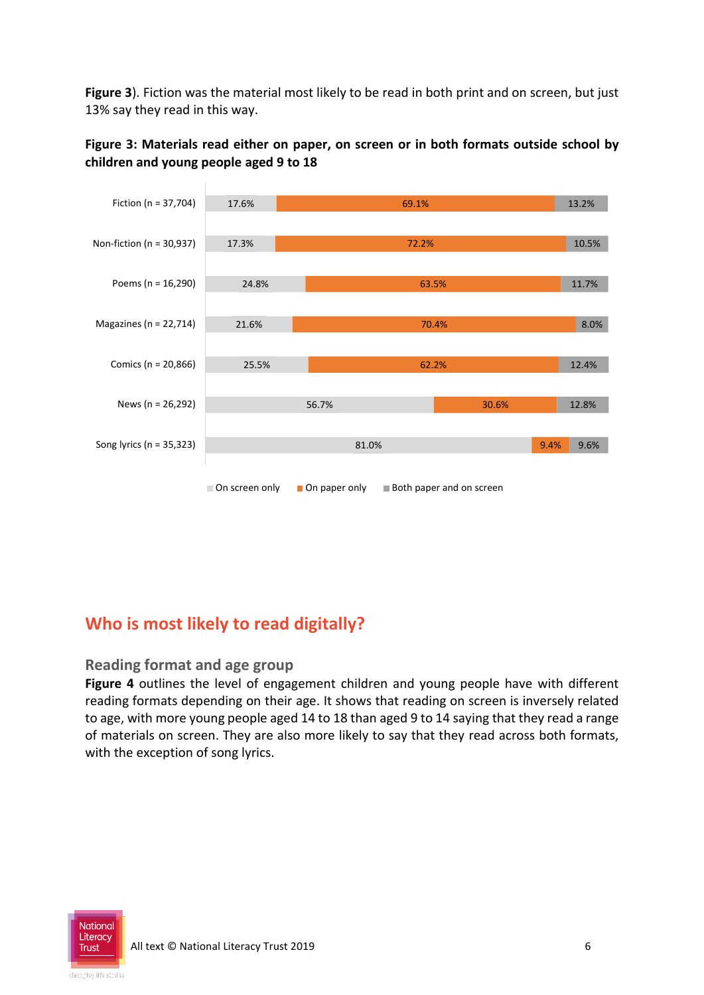**Figure 3**). Fiction was the material most likely to be read in both print and on screen, but just 13% say they read in this way.



**Figure 3: Materials read either on paper, on screen or in both formats outside school by children and young people aged 9 to 18**

## **Who is most likely to read digitally?**

#### **Reading format and age group**

**Figure 4** outlines the level of engagement children and young people have with different reading formats depending on their age. It shows that reading on screen is inversely related to age, with more young people aged 14 to 18 than aged 9 to 14 saying that they read a range of materials on screen. They are also more likely to say that they read across both formats, with the exception of song lyrics.

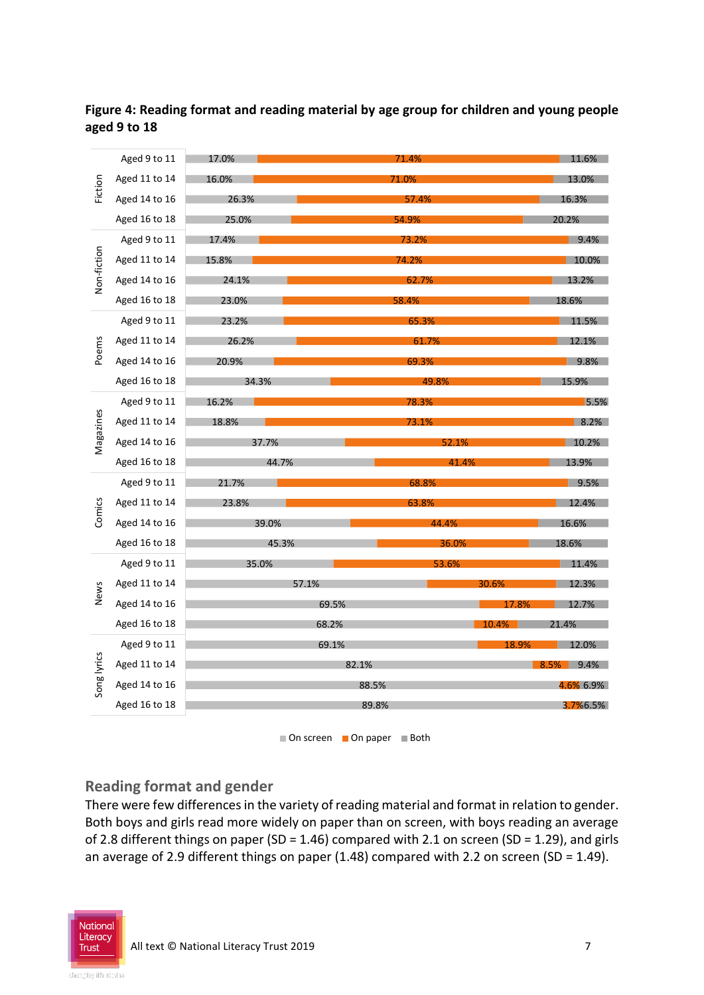

**Figure 4: Reading format and reading material by age group for children and young people aged 9 to 18**

 $\blacksquare$  On screen  $\blacksquare$  On paper  $\blacksquare$  Both

#### **Reading format and gender**

There were few differences in the variety of reading material and format in relation to gender. Both boys and girls read more widely on paper than on screen, with boys reading an average of 2.8 different things on paper (SD = 1.46) compared with 2.1 on screen (SD = 1.29), and girls an average of 2.9 different things on paper (1.48) compared with 2.2 on screen (SD = 1.49).

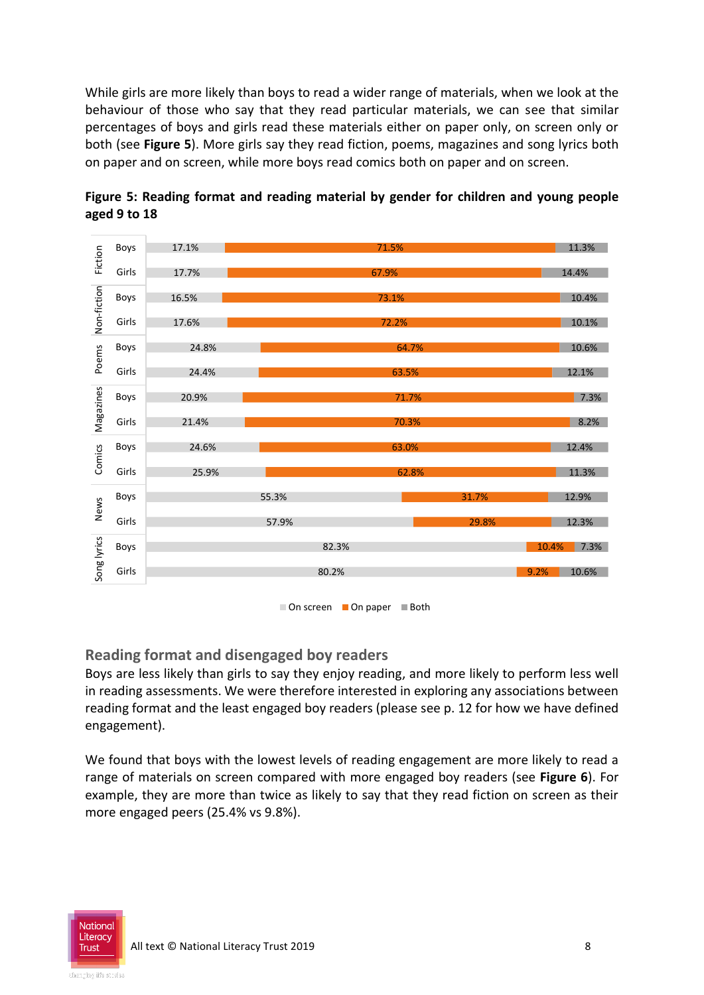While girls are more likely than boys to read a wider range of materials, when we look at the behaviour of those who say that they read particular materials, we can see that similar percentages of boys and girls read these materials either on paper only, on screen only or both (see **Figure 5**). More girls say they read fiction, poems, magazines and song lyrics both on paper and on screen, while more boys read comics both on paper and on screen.





 $\Box$  On screen  $\Box$  On paper  $\Box$  Both

#### **Reading format and disengaged boy readers**

Boys are less likely than girls to say they enjoy reading, and more likely to perform less well in reading assessments. We were therefore interested in exploring any associations between reading format and the least engaged boy readers (please see p. 12 for how we have defined engagement).

We found that boys with the lowest levels of reading engagement are more likely to read a range of materials on screen compared with more engaged boy readers (see **Figure 6**). For example, they are more than twice as likely to say that they read fiction on screen as their more engaged peers (25.4% vs 9.8%).

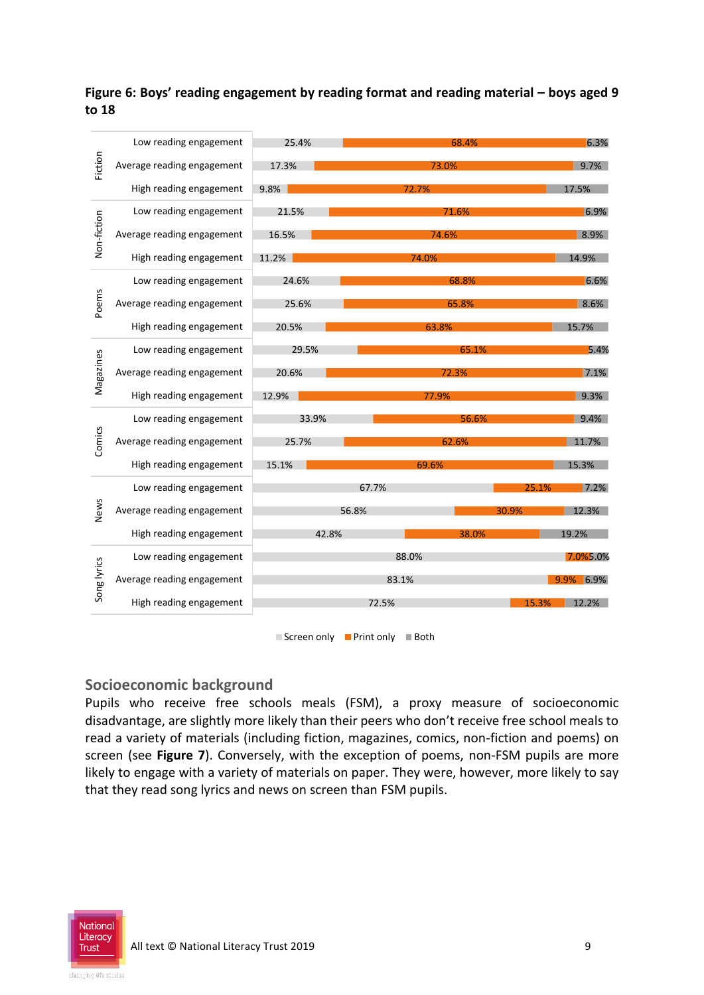**Figure 6: Boys' reading engagement by reading format and reading material – boys aged 9 to 18**

| Fiction     | Low reading engagement     | 25.4% | 68.4% |       | 6.3%           |
|-------------|----------------------------|-------|-------|-------|----------------|
|             | Average reading engagement | 17.3% | 73.0% |       | 9.7%           |
|             | High reading engagement    | 9.8%  | 72.7% |       | 17.5%          |
| Non-fiction | Low reading engagement     | 21.5% | 71.6% |       | 6.9%           |
|             | Average reading engagement | 16.5% | 74.6% |       | 8.9%           |
|             | High reading engagement    | 11.2% | 74.0% |       | 14.9%          |
|             | Low reading engagement     | 24.6% | 68.8% |       | 6.6%           |
| Poems       | Average reading engagement | 25.6% | 65.8% |       | 8.6%           |
|             | High reading engagement    | 20.5% | 63.8% |       | 15.7%          |
|             | Low reading engagement     | 29.5% | 65.1% |       | 5.4%           |
| Magazines   | Average reading engagement | 20.6% | 72.3% |       | 7.1%           |
|             | High reading engagement    | 12.9% | 77.9% |       | 9.3%           |
|             | Low reading engagement     | 33.9% | 56.6% |       | 9.4%           |
| Comics      | Average reading engagement | 25.7% | 62.6% |       | 11.7%          |
|             | High reading engagement    | 15.1% |       | 69.6% | 15.3%          |
|             | Low reading engagement     |       | 67.7% |       | 7.2%<br>25.1%  |
| News        | Average reading engagement | 56.8% |       |       | 30.9%<br>12.3% |
|             | High reading engagement    | 42.8% |       | 38.0% | 19.2%          |
| Song lyrics | Low reading engagement     | 88.0% |       |       | 7.0%5.0%       |
|             | Average reading engagement | 83.1% |       |       | 9.9% 6.9%      |
|             | High reading engagement    | 72.5% |       |       | 12.2%<br>15.3% |
|             |                            |       |       |       |                |



#### **Socioeconomic background**

Pupils who receive free schools meals (FSM), a proxy measure of socioeconomic disadvantage, are slightly more likely than their peers who don't receive free school meals to read a variety of materials (including fiction, magazines, comics, non-fiction and poems) on screen (see **Figure 7**). Conversely, with the exception of poems, non-FSM pupils are more likely to engage with a variety of materials on paper. They were, however, more likely to say that they read song lyrics and news on screen than FSM pupils.

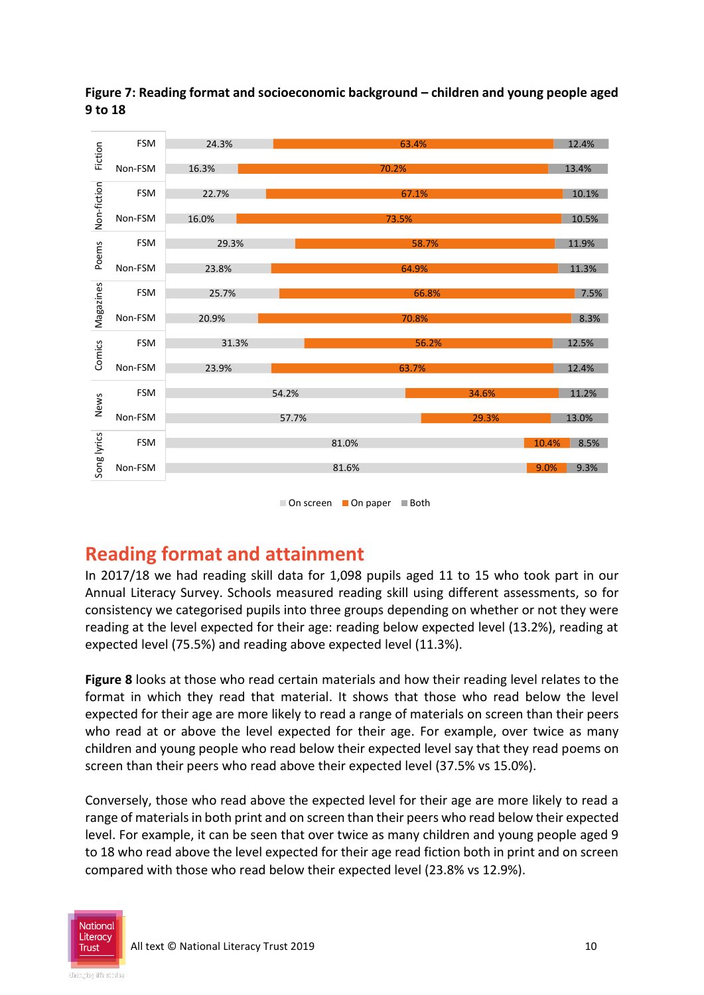

**Figure 7: Reading format and socioeconomic background – children and young people aged 9 to 18**

■ On screen ■ On paper ■ Both

# **Reading format and attainment**

In 2017/18 we had reading skill data for 1,098 pupils aged 11 to 15 who took part in our Annual Literacy Survey. Schools measured reading skill using different assessments, so for consistency we categorised pupils into three groups depending on whether or not they were reading at the level expected for their age: reading below expected level (13.2%), reading at expected level (75.5%) and reading above expected level (11.3%).

**Figure 8** looks at those who read certain materials and how their reading level relates to the format in which they read that material. It shows that those who read below the level expected for their age are more likely to read a range of materials on screen than their peers who read at or above the level expected for their age. For example, over twice as many children and young people who read below their expected level say that they read poems on screen than their peers who read above their expected level (37.5% vs 15.0%).

Conversely, those who read above the expected level for their age are more likely to read a range of materials in both print and on screen than their peers who read below their expected level. For example, it can be seen that over twice as many children and young people aged 9 to 18 who read above the level expected for their age read fiction both in print and on screen compared with those who read below their expected level (23.8% vs 12.9%).

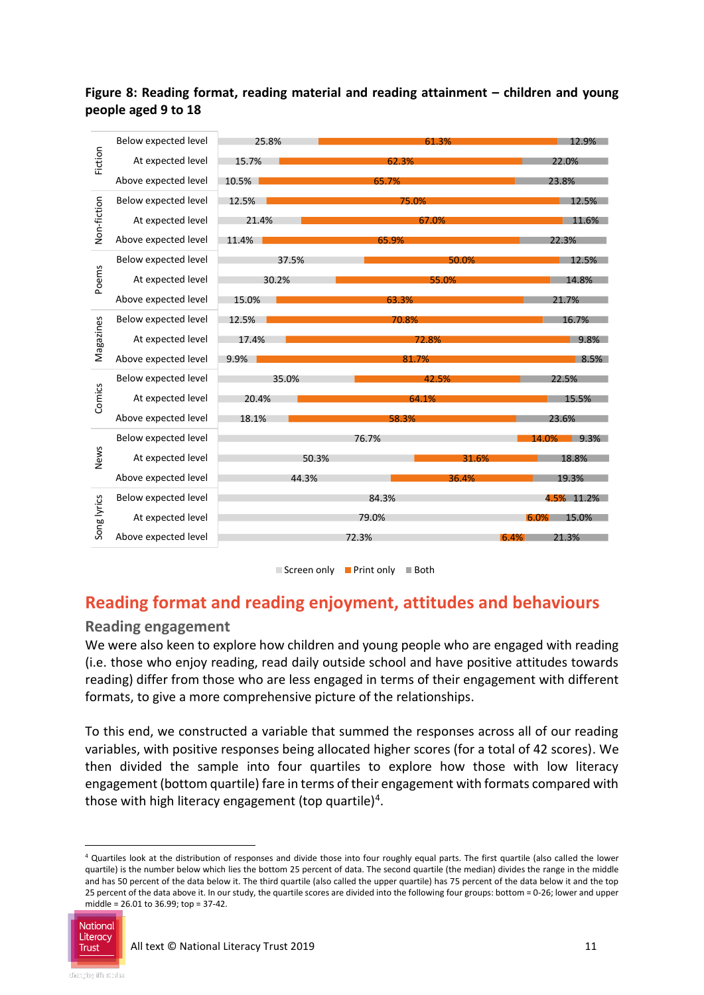#### **Figure 8: Reading format, reading material and reading attainment – children and young people aged 9 to 18**



 $\Box$  Screen only  $\Box$  Print only  $\Box$  Both

### **Reading format and reading enjoyment, attitudes and behaviours**

#### **Reading engagement**

We were also keen to explore how children and young people who are engaged with reading (i.e. those who enjoy reading, read daily outside school and have positive attitudes towards reading) differ from those who are less engaged in terms of their engagement with different formats, to give a more comprehensive picture of the relationships.

To this end, we constructed a variable that summed the responses across all of our reading variables, with positive responses being allocated higher scores (for a total of 42 scores). We then divided the sample into four quartiles to explore how those with low literacy engagement (bottom quartile) fare in terms of their engagement with formats compared with those with high literacy engagement (top quartile)<sup>4</sup>.

<sup>4</sup> Quartiles look at the distribution of responses and divide those into four roughly equal parts. The first quartile (also called the lower quartile) is the number below which lies the bottom 25 percent of data. The second quartile (the median) divides the range in the middle and has 50 percent of the data below it. The third quartile (also called the upper quartile) has 75 percent of the data below it and the top 25 percent of the data above it. In our study, the quartile scores are divided into the following four groups: bottom = 0-26; lower and upper middle = 26.01 to 36.99; top = 37-42.



<u>.</u>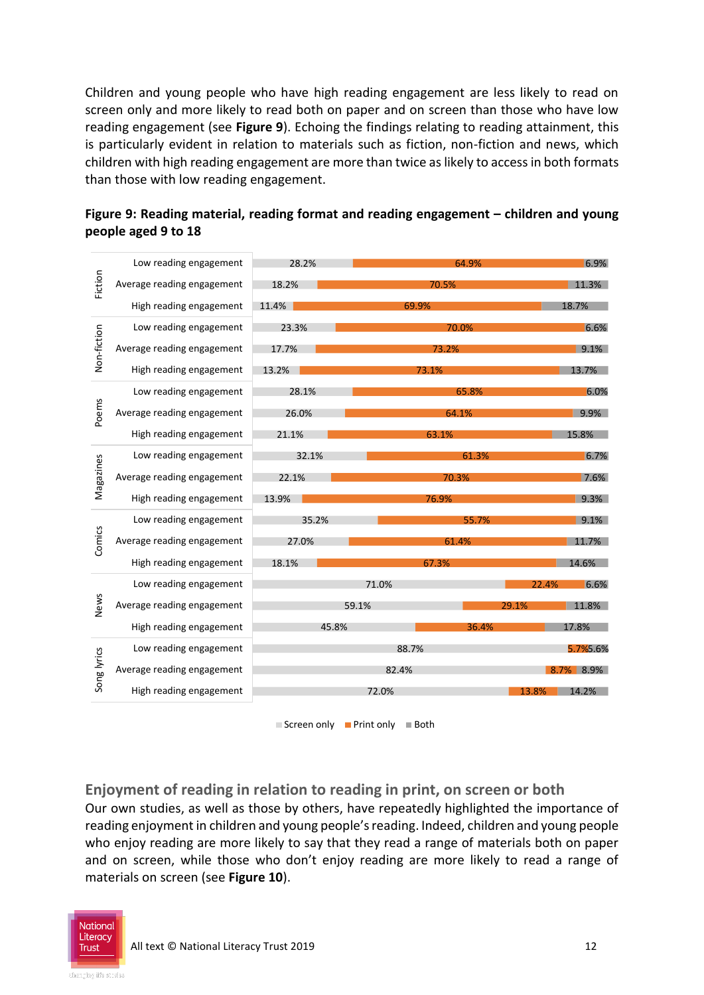Children and young people who have high reading engagement are less likely to read on screen only and more likely to read both on paper and on screen than those who have low reading engagement (see **Figure 9**). Echoing the findings relating to reading attainment, this is particularly evident in relation to materials such as fiction, non-fiction and news, which children with high reading engagement are more than twice as likely to access in both formats than those with low reading engagement.

| Fiction     | Low reading engagement     | 28.2%          | 64.9% | 6.9%           |
|-------------|----------------------------|----------------|-------|----------------|
|             | Average reading engagement | 18.2%          | 70.5% | 11.3%          |
|             | High reading engagement    | 11.4%          | 69.9% | 18.7%          |
| Non-fiction | Low reading engagement     | 23.3%          | 70.0% | 6.6%           |
|             | Average reading engagement | 17.7%          | 73.2% | 9.1%           |
|             | High reading engagement    | 13.2%          | 73.1% | 13.7%          |
| Poems       | Low reading engagement     | 28.1%          | 65.8% | 6.0%           |
|             | Average reading engagement | 26.0%          | 64.1% | 9.9%           |
|             | High reading engagement    | 21.1%          | 63.1% | 15.8%          |
|             | Low reading engagement     | 32.1%          | 61.3% | 6.7%           |
| Magazines   | Average reading engagement | 22.1%          | 70.3% | 7.6%           |
|             | High reading engagement    | 13.9%          | 76.9% | 9.3%           |
|             | Low reading engagement     | 35.2%          | 55.7% | 9.1%           |
| Comics      | Average reading engagement | 27.0%          | 61.4% | 11.7%          |
|             | High reading engagement    | 18.1%          | 67.3% | 14.6%          |
| News        | Low reading engagement     |                | 71.0% | 6.6%<br>22.4%  |
|             | Average reading engagement | 59.1%          |       | 11.8%<br>29.1% |
|             | High reading engagement    | 45.8%<br>36.4% |       | 17.8%          |
| Song lyrics | Low reading engagement     | 88.7%          |       | 5.7%5.6%       |
|             | Average reading engagement | 82.4%          |       | 8.7% 8.9%      |
|             | High reading engagement    | 72.0%          |       | 14.2%<br>13.8% |

**Figure 9: Reading material, reading format and reading engagement – children and young people aged 9 to 18**

 $\Box$  Screen only  $\Box$  Print only  $\Box$  Both

**Enjoyment of reading in relation to reading in print, on screen or both** Our own studies, as well as those by others, have repeatedly highlighted the importance of reading enjoyment in children and young people's reading. Indeed, children and young people who enjoy reading are more likely to say that they read a range of materials both on paper and on screen, while those who don't enjoy reading are more likely to read a range of materials on screen (see **Figure 10**).

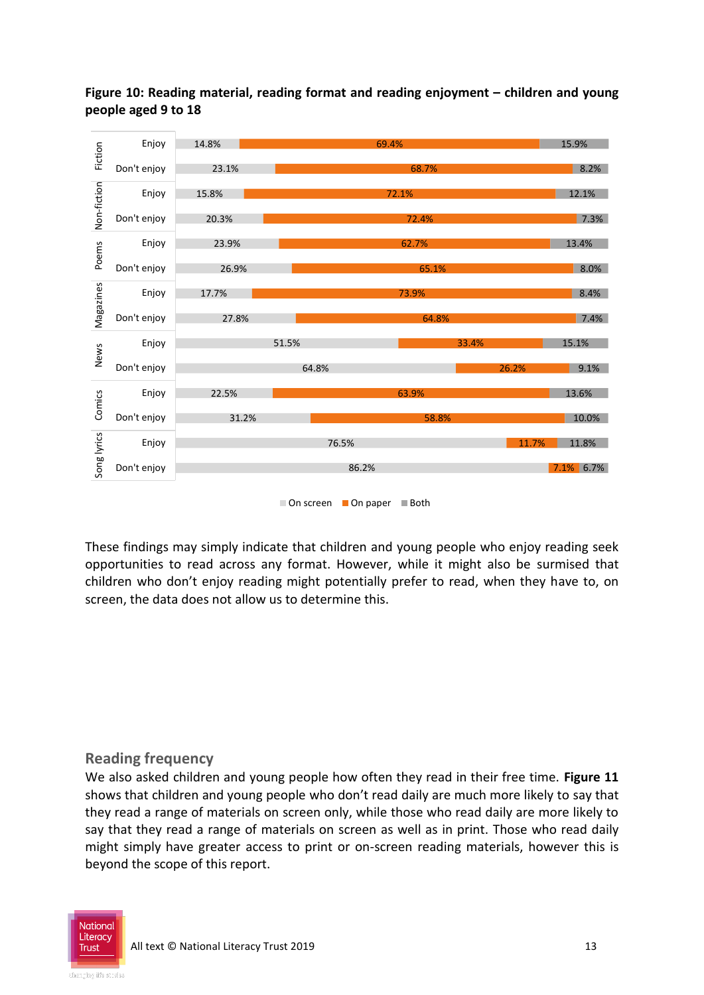

**Figure 10: Reading material, reading format and reading enjoyment – children and young people aged 9 to 18**

■ On screen ■ On paper ■ Both

These findings may simply indicate that children and young people who enjoy reading seek opportunities to read across any format. However, while it might also be surmised that children who don't enjoy reading might potentially prefer to read, when they have to, on screen, the data does not allow us to determine this.

#### **Reading frequency**

We also asked children and young people how often they read in their free time. **Figure 11** shows that children and young people who don't read daily are much more likely to say that they read a range of materials on screen only, while those who read daily are more likely to say that they read a range of materials on screen as well as in print. Those who read daily might simply have greater access to print or on-screen reading materials, however this is beyond the scope of this report.

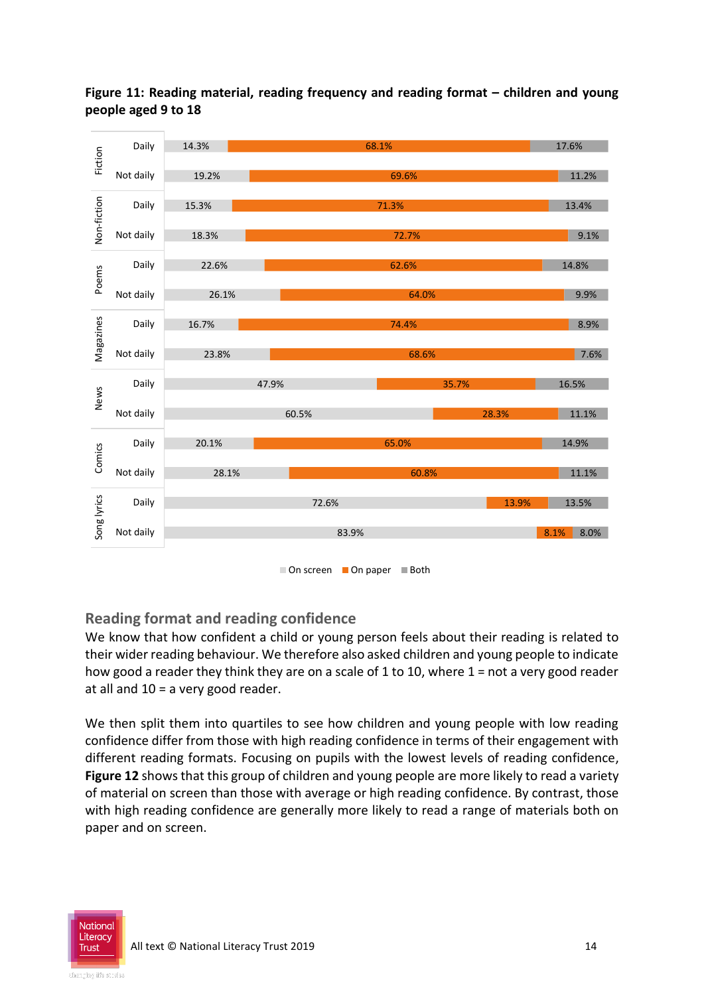

**Figure 11: Reading material, reading frequency and reading format – children and young people aged 9 to 18**

#### **Reading format and reading confidence**

We know that how confident a child or young person feels about their reading is related to their wider reading behaviour. We therefore also asked children and young people to indicate how good a reader they think they are on a scale of 1 to 10, where  $1 =$  not a very good reader at all and 10 = a very good reader.

We then split them into quartiles to see how children and young people with low reading confidence differ from those with high reading confidence in terms of their engagement with different reading formats. Focusing on pupils with the lowest levels of reading confidence, **Figure 12** shows that this group of children and young people are more likely to read a variety of material on screen than those with average or high reading confidence. By contrast, those with high reading confidence are generally more likely to read a range of materials both on paper and on screen.

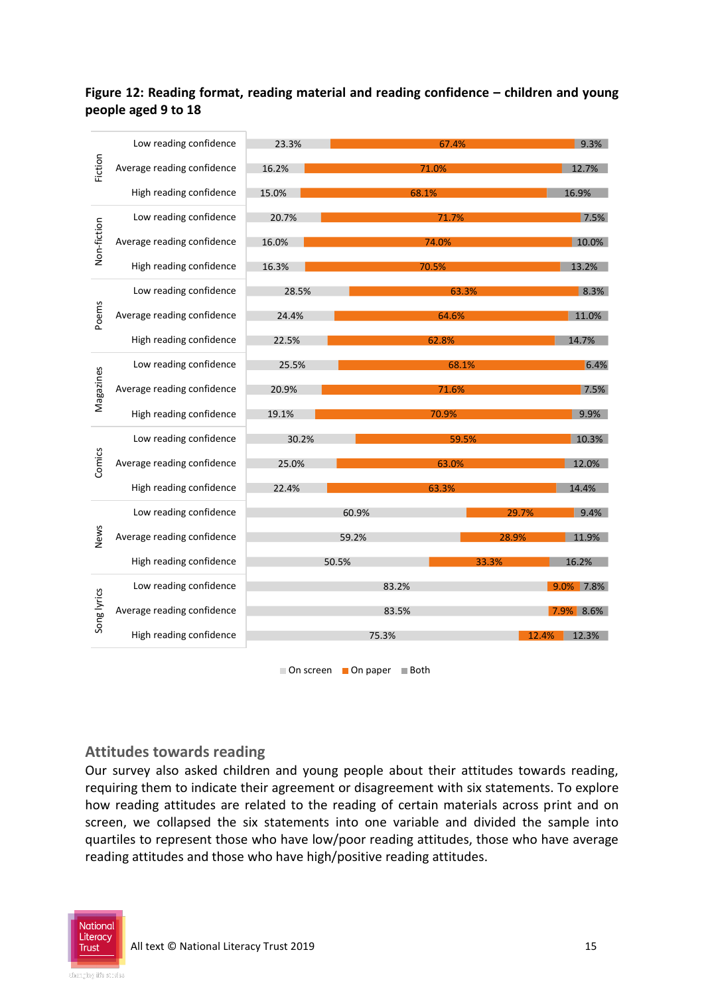#### **Figure 12: Reading format, reading material and reading confidence – children and young people aged 9 to 18**

| Fiction     | Low reading confidence     | 23.3% |       | 9.3%  |               |
|-------------|----------------------------|-------|-------|-------|---------------|
|             | Average reading confidence | 16.2% | 71.0% |       | 12.7%         |
|             | High reading confidence    | 15.0% | 68.1% |       | 16.9%         |
| Non-fiction | Low reading confidence     | 20.7% | 71.7% |       | 7.5%          |
|             | Average reading confidence | 16.0% | 74.0% |       | 10.0%         |
|             | High reading confidence    | 16.3% | 70.5% |       | 13.2%         |
| Poems       | Low reading confidence     | 28.5% | 63.3% |       | 8.3%          |
|             | Average reading confidence | 24.4% | 64.6% |       | 11.0%         |
|             | High reading confidence    | 22.5% | 62.8% |       | 14.7%         |
|             | Low reading confidence     | 25.5% | 68.1% |       | 6.4%          |
| Magazines   | Average reading confidence | 20.9% | 71.6% |       | 7.5%          |
|             | High reading confidence    | 19.1% |       | 70.9% | 9.9%          |
|             | Low reading confidence     | 30.2% | 59.5% |       | 10.3%         |
| Comics      | Average reading confidence | 25.0% | 63.0% |       | 12.0%         |
|             | High reading confidence    | 22.4% |       | 63.3% | 14.4%         |
|             | Low reading confidence     |       | 60.9% | 29.7% | 9.4%          |
| News        | Average reading confidence |       | 59.2% | 28.9% | 11.9%         |
|             | High reading confidence    |       | 50.5% | 33.3% | 16.2%         |
| Song lyrics | Low reading confidence     |       | 83.2% |       | 9.0% 7.8%     |
|             | Average reading confidence |       | 83.5% |       | 7.9% 8.6%     |
|             | High reading confidence    |       | 75.3% |       | 12.3%<br>2.4% |
|             |                            |       |       |       |               |

■ On screen ■ On paper ■ Both

#### **Attitudes towards reading**

Our survey also asked children and young people about their attitudes towards reading, requiring them to indicate their agreement or disagreement with six statements. To explore how reading attitudes are related to the reading of certain materials across print and on screen, we collapsed the six statements into one variable and divided the sample into quartiles to represent those who have low/poor reading attitudes, those who have average reading attitudes and those who have high/positive reading attitudes.

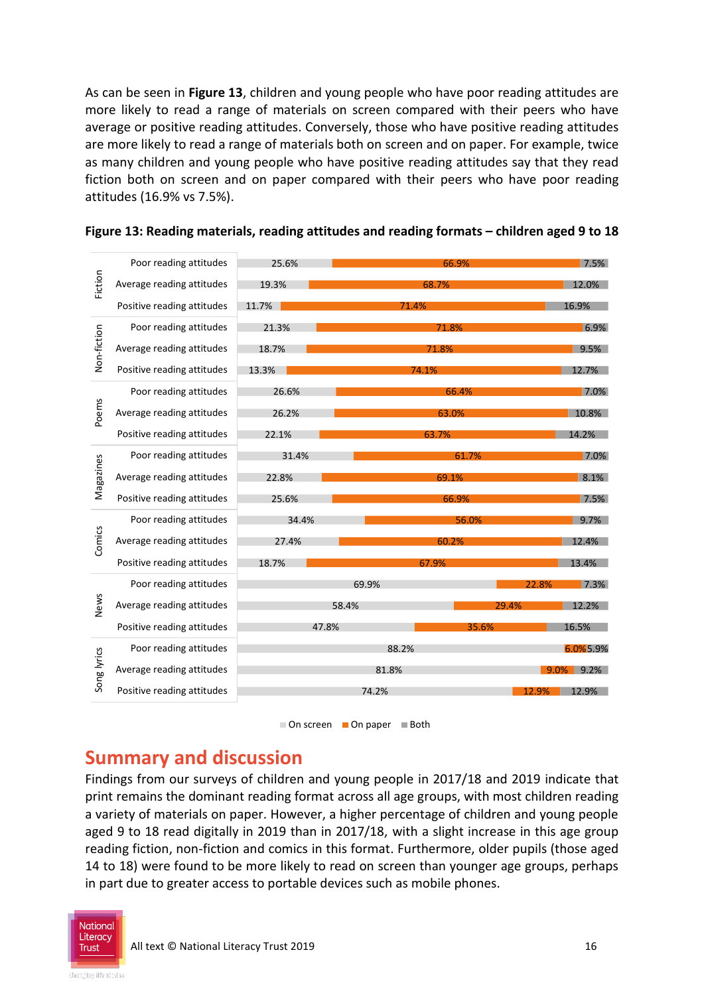As can be seen in **Figure 13**, children and young people who have poor reading attitudes are more likely to read a range of materials on screen compared with their peers who have average or positive reading attitudes. Conversely, those who have positive reading attitudes are more likely to read a range of materials both on screen and on paper. For example, twice as many children and young people who have positive reading attitudes say that they read fiction both on screen and on paper compared with their peers who have poor reading attitudes (16.9% vs 7.5%).

| Fiction     | Poor reading attitudes     | 25.6% | 66.9% |       | 7.5%           |
|-------------|----------------------------|-------|-------|-------|----------------|
|             | Average reading attitudes  | 19.3% | 68.7% |       | 12.0%          |
|             | Positive reading attitudes | 11.7% | 71.4% |       | 16.9%          |
| Non-fiction | Poor reading attitudes     | 21.3% | 71.8% |       | 6.9%           |
|             | Average reading attitudes  | 18.7% | 71.8% |       | 9.5%           |
|             | Positive reading attitudes | 13.3% | 74.1% |       | 12.7%          |
|             | Poor reading attitudes     | 26.6% | 66.4% |       | 7.0%           |
| Poems       | Average reading attitudes  | 26.2% | 63.0% |       | 10.8%          |
|             | Positive reading attitudes | 22.1% | 63.7% |       | 14.2%          |
|             | Poor reading attitudes     | 31.4% | 61.7% |       | 7.0%           |
| Magazines   | Average reading attitudes  | 22.8% | 69.1% |       | 8.1%           |
|             | Positive reading attitudes | 25.6% | 66.9% |       | 7.5%           |
|             | Poor reading attitudes     | 34.4% |       | 56.0% | 9.7%           |
| Comics      | Average reading attitudes  | 27.4% | 60.2% |       | 12.4%          |
|             | Positive reading attitudes | 18.7% | 67.9% |       | 13.4%          |
|             | Poor reading attitudes     | 69.9% |       |       | 7.3%<br>22.8%  |
| News        | Average reading attitudes  | 58.4% |       | 29.4% | 12.2%          |
|             | Positive reading attitudes | 47.8% |       | 35.6% | 16.5%          |
| Song lyrics | Poor reading attitudes     | 88.2% |       |       | 6.0%5.9%       |
|             | Average reading attitudes  | 81.8% |       |       | $9.0\%$ 9.2%   |
|             | Positive reading attitudes | 74.2% |       |       | 12.9%<br>12.9% |



# **Summary and discussion**

Findings from our surveys of children and young people in 2017/18 and 2019 indicate that print remains the dominant reading format across all age groups, with most children reading a variety of materials on paper. However, a higher percentage of children and young people aged 9 to 18 read digitally in 2019 than in 2017/18, with a slight increase in this age group reading fiction, non-fiction and comics in this format. Furthermore, older pupils (those aged 14 to 18) were found to be more likely to read on screen than younger age groups, perhaps in part due to greater access to portable devices such as mobile phones.



 $\Box$  On screen  $\Box$  On paper  $\Box$  Both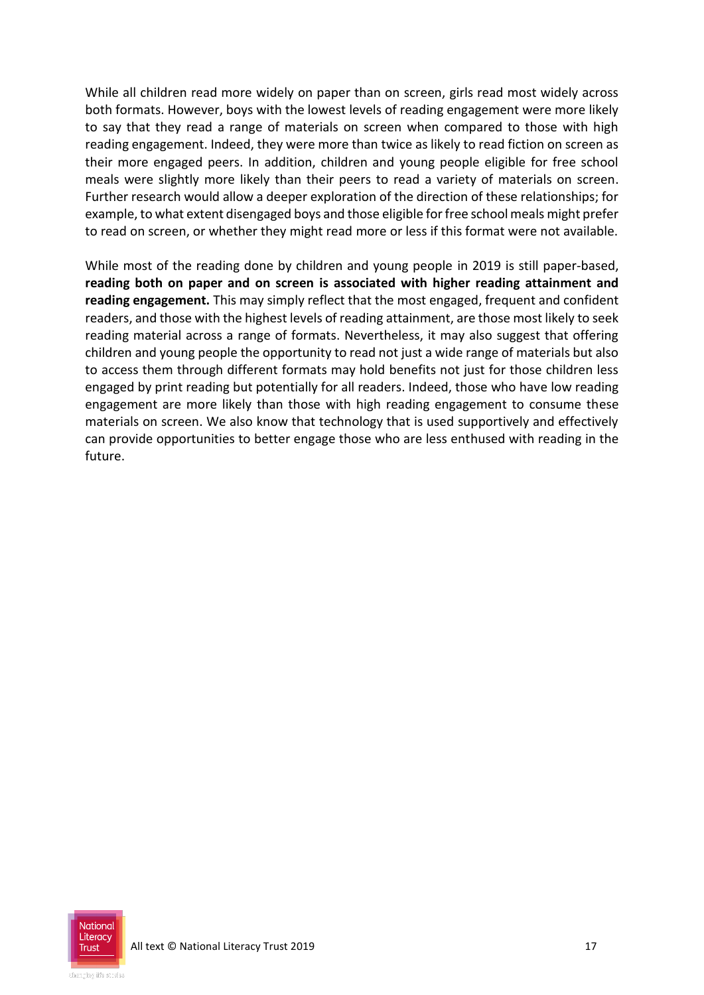While all children read more widely on paper than on screen, girls read most widely across both formats. However, boys with the lowest levels of reading engagement were more likely to say that they read a range of materials on screen when compared to those with high reading engagement. Indeed, they were more than twice as likely to read fiction on screen as their more engaged peers. In addition, children and young people eligible for free school meals were slightly more likely than their peers to read a variety of materials on screen. Further research would allow a deeper exploration of the direction of these relationships; for example, to what extent disengaged boys and those eligible for free school meals might prefer to read on screen, or whether they might read more or less if this format were not available.

While most of the reading done by children and young people in 2019 is still paper-based, **reading both on paper and on screen is associated with higher reading attainment and reading engagement.** This may simply reflect that the most engaged, frequent and confident readers, and those with the highest levels of reading attainment, are those most likely to seek reading material across a range of formats. Nevertheless, it may also suggest that offering children and young people the opportunity to read not just a wide range of materials but also to access them through different formats may hold benefits not just for those children less engaged by print reading but potentially for all readers. Indeed, those who have low reading engagement are more likely than those with high reading engagement to consume these materials on screen. We also know that technology that is used supportively and effectively can provide opportunities to better engage those who are less enthused with reading in the future.